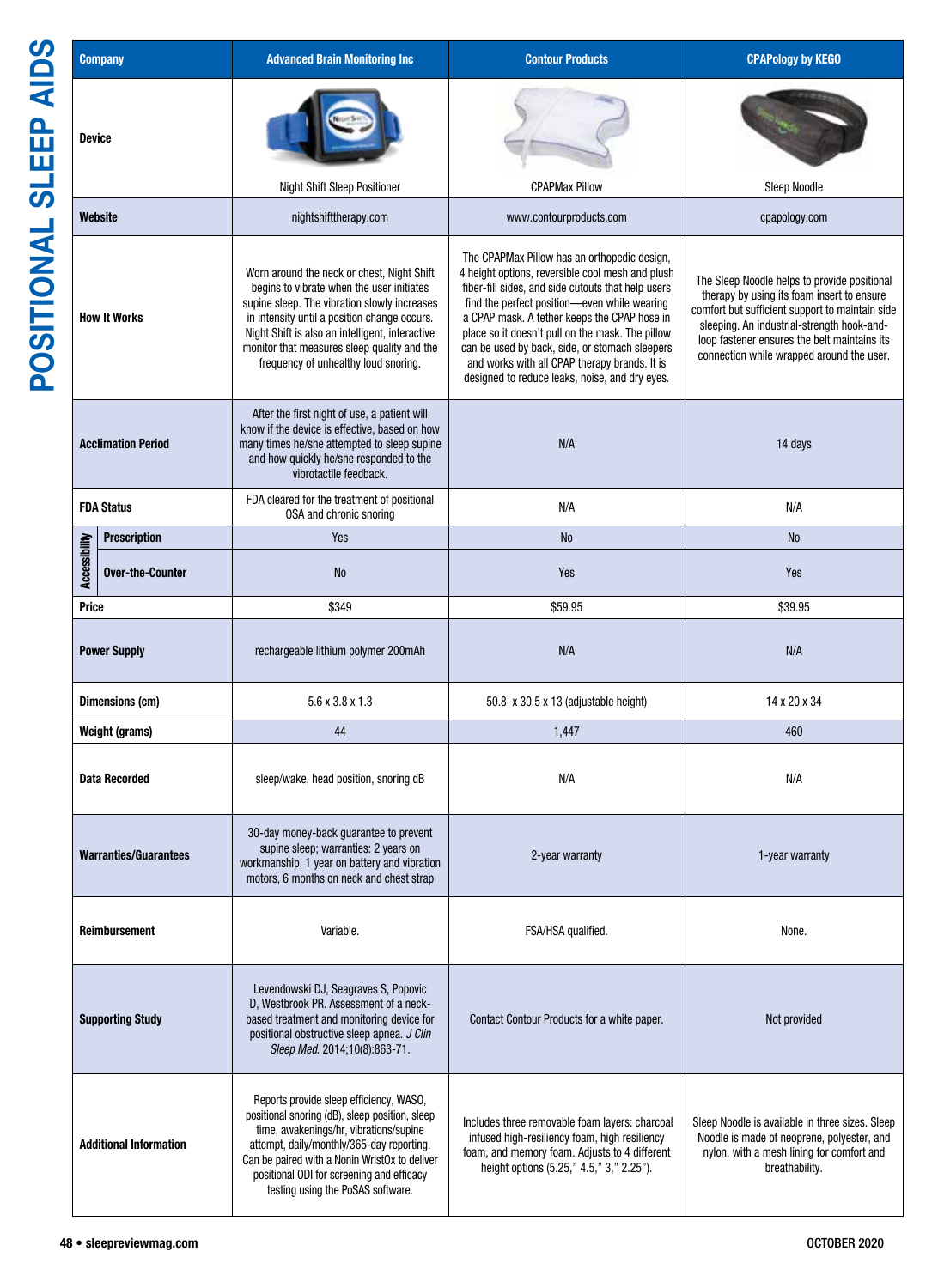| <b>AIDS</b><br><b>Company</b>                                      | <b>Advanced Brain Monitoring Inc.</b>                                                                                                                                                                                                                                                                                             | <b>Contour Products</b>                                                                                                                                                                                                                                                                                                                                                                                                                                         | <b>CPAPology by KEGO</b>                                                                                                                                                                                                                                                                 |
|--------------------------------------------------------------------|-----------------------------------------------------------------------------------------------------------------------------------------------------------------------------------------------------------------------------------------------------------------------------------------------------------------------------------|-----------------------------------------------------------------------------------------------------------------------------------------------------------------------------------------------------------------------------------------------------------------------------------------------------------------------------------------------------------------------------------------------------------------------------------------------------------------|------------------------------------------------------------------------------------------------------------------------------------------------------------------------------------------------------------------------------------------------------------------------------------------|
| $\mathbf{h}$<br><b>Device</b><br>$\overline{\mathbf{u}}$<br>_<br>თ |                                                                                                                                                                                                                                                                                                                                   |                                                                                                                                                                                                                                                                                                                                                                                                                                                                 |                                                                                                                                                                                                                                                                                          |
|                                                                    | <b>Night Shift Sleep Positioner</b>                                                                                                                                                                                                                                                                                               | <b>CPAPMax Pillow</b>                                                                                                                                                                                                                                                                                                                                                                                                                                           | Sleep Noodle                                                                                                                                                                                                                                                                             |
| Website                                                            | nightshifttherapy.com                                                                                                                                                                                                                                                                                                             | www.contourproducts.com                                                                                                                                                                                                                                                                                                                                                                                                                                         | cpapology.com                                                                                                                                                                                                                                                                            |
| <b>How It Works</b>                                                | Worn around the neck or chest, Night Shift<br>begins to vibrate when the user initiates<br>supine sleep. The vibration slowly increases<br>in intensity until a position change occurs.<br>Night Shift is also an intelligent, interactive<br>monitor that measures sleep quality and the<br>frequency of unhealthy loud snoring. | The CPAPMax Pillow has an orthopedic design,<br>4 height options, reversible cool mesh and plush<br>fiber-fill sides, and side cutouts that help users<br>find the perfect position-even while wearing<br>a CPAP mask. A tether keeps the CPAP hose in<br>place so it doesn't pull on the mask. The pillow<br>can be used by back, side, or stomach sleepers<br>and works with all CPAP therapy brands. It is<br>designed to reduce leaks, noise, and dry eyes. | The Sleep Noodle helps to provide positional<br>therapy by using its foam insert to ensure<br>comfort but sufficient support to maintain side<br>sleeping. An industrial-strength hook-and-<br>loop fastener ensures the belt maintains its<br>connection while wrapped around the user. |
| <b>Acclimation Period</b>                                          | After the first night of use, a patient will<br>know if the device is effective, based on how<br>many times he/she attempted to sleep supine<br>and how quickly he/she responded to the<br>vibrotactile feedback.                                                                                                                 | N/A                                                                                                                                                                                                                                                                                                                                                                                                                                                             | 14 days                                                                                                                                                                                                                                                                                  |
| <b>FDA Status</b>                                                  | FDA cleared for the treatment of positional<br>OSA and chronic snoring                                                                                                                                                                                                                                                            | N/A                                                                                                                                                                                                                                                                                                                                                                                                                                                             | N/A                                                                                                                                                                                                                                                                                      |
|                                                                    | Yes                                                                                                                                                                                                                                                                                                                               | <b>No</b>                                                                                                                                                                                                                                                                                                                                                                                                                                                       | <b>No</b>                                                                                                                                                                                                                                                                                |
| Prescription<br>gas Over-the-Cou<br><b>Over-the-Counter</b>        | No                                                                                                                                                                                                                                                                                                                                | Yes                                                                                                                                                                                                                                                                                                                                                                                                                                                             | Yes                                                                                                                                                                                                                                                                                      |
| Price                                                              | \$349                                                                                                                                                                                                                                                                                                                             | \$59.95                                                                                                                                                                                                                                                                                                                                                                                                                                                         | \$39.95                                                                                                                                                                                                                                                                                  |
| <b>Power Supply</b>                                                | rechargeable lithium polymer 200mAh                                                                                                                                                                                                                                                                                               | N/A                                                                                                                                                                                                                                                                                                                                                                                                                                                             | N/A                                                                                                                                                                                                                                                                                      |
| Dimensions (cm)                                                    | $5.6 \times 3.8 \times 1.3$                                                                                                                                                                                                                                                                                                       | 50.8 x 30.5 x 13 (adjustable height)                                                                                                                                                                                                                                                                                                                                                                                                                            | 14 x 20 x 34                                                                                                                                                                                                                                                                             |
| Weight (grams)                                                     | 44                                                                                                                                                                                                                                                                                                                                | 1,447                                                                                                                                                                                                                                                                                                                                                                                                                                                           | 460                                                                                                                                                                                                                                                                                      |
| <b>Data Recorded</b>                                               | sleep/wake, head position, snoring dB                                                                                                                                                                                                                                                                                             | N/A                                                                                                                                                                                                                                                                                                                                                                                                                                                             | N/A                                                                                                                                                                                                                                                                                      |
| <b>Warranties/Guarantees</b>                                       | 30-day money-back guarantee to prevent<br>supine sleep; warranties: 2 years on<br>workmanship, 1 year on battery and vibration<br>motors, 6 months on neck and chest strap                                                                                                                                                        | 2-year warranty                                                                                                                                                                                                                                                                                                                                                                                                                                                 | 1-year warranty                                                                                                                                                                                                                                                                          |
| <b>Reimbursement</b>                                               | Variable.                                                                                                                                                                                                                                                                                                                         | FSA/HSA qualified.                                                                                                                                                                                                                                                                                                                                                                                                                                              | None.                                                                                                                                                                                                                                                                                    |
| <b>Supporting Study</b>                                            | Levendowski DJ, Seagraves S, Popovic<br>D, Westbrook PR. Assessment of a neck-<br>based treatment and monitoring device for<br>positional obstructive sleep apnea. J Clin<br>Sleep Med. 2014;10(8):863-71.                                                                                                                        | Contact Contour Products for a white paper.                                                                                                                                                                                                                                                                                                                                                                                                                     | Not provided                                                                                                                                                                                                                                                                             |
| <b>Additional Information</b>                                      | Reports provide sleep efficiency, WASO,<br>positional snoring (dB), sleep position, sleep<br>time, awakenings/hr, vibrations/supine<br>attempt, daily/monthly/365-day reporting.<br>Can be paired with a Nonin WristOx to deliver<br>positional ODI for screening and efficacy<br>testing using the PoSAS software.               | Includes three removable foam layers: charcoal<br>infused high-resiliency foam, high resiliency<br>foam, and memory foam. Adjusts to 4 different<br>height options (5.25," 4.5," 3," 2.25").                                                                                                                                                                                                                                                                    | Sleep Noodle is available in three sizes. Sleep<br>Noodle is made of neoprene, polyester, and<br>nylon, with a mesh lining for comfort and<br>breathability.                                                                                                                             |